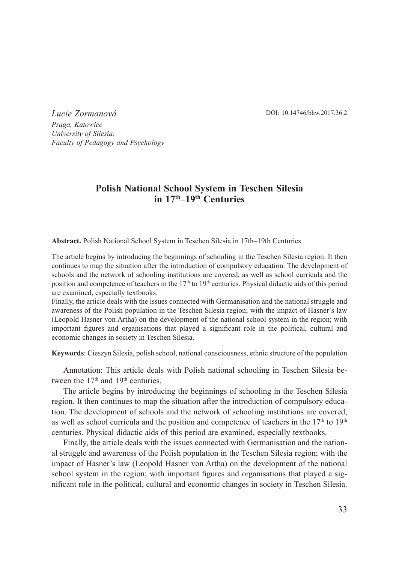DOI: 10.14746/bhw.2017.36.2

*Lucie Zormanová Praga, Katowice University of Silesia, Faculty of Pedagogy and Psychology*

# **Polish National School System in Teschen Silesia in 17th–19th Centuries**

**Abstract.** Polish National School System in Teschen Silesia in 17th–19th Centuries

The article begins by introducing the beginnings of schooling in the Teschen Silesia region. It then continues to map the situation after the introduction of compulsory education. The development of schools and the network of schooling institutions are covered, as well as school curricula and the position and competence of teachers in the  $17<sup>th</sup>$  to  $19<sup>th</sup>$  centuries. Physical didactic aids of this period are examined, especially textbooks.

Finally, the article deals with the issues connected with Germanisation and the national struggle and awareness of the Polish population in the Teschen Silesia region; with the impact of Hasner's law (Leopold Hasner von Artha) on the development of the national school system in the region; with important figures and organisations that played a significant role in the political, cultural and economic changes in society in Teschen Silesia.

**Keywords**: Cieszyn Silesia, polish school, national consciousness, ethnic structure of the population

Annotation: This article deals with Polish national schooling in Teschen Silesia between the  $17<sup>th</sup>$  and  $19<sup>th</sup>$  centuries.

The article begins by introducing the beginnings of schooling in the Teschen Silesia region. It then continues to map the situation after the introduction of compulsory education. The development of schools and the network of schooling institutions are covered, as well as school curricula and the position and competence of teachers in the 17<sup>th</sup> to 19<sup>th</sup> centuries. Physical didactic aids of this period are examined, especially textbooks.

Finally, the article deals with the issues connected with Germanisation and the national struggle and awareness of the Polish population in the Teschen Silesia region; with the impact of Hasner's law (Leopold Hasner von Artha) on the development of the national school system in the region; with important figures and organisations that played a significant role in the political, cultural and economic changes in society in Teschen Silesia.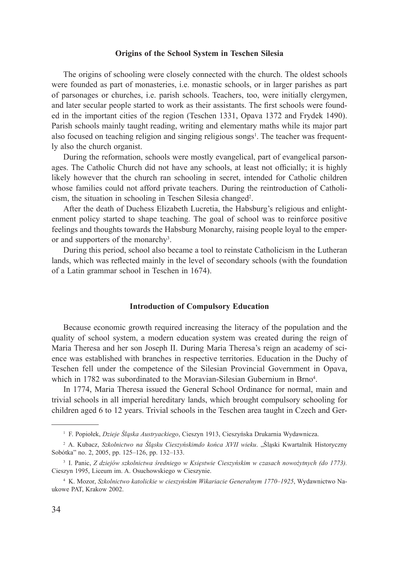#### **Origins of the School System in Teschen Silesia**

The origins of schooling were closely connected with the church. The oldest schools were founded as part of monasteries, i.e. monastic schools, or in larger parishes as part of parsonages or churches, i.e. parish schools. Teachers, too, were initially clergymen, and later secular people started to work as their assistants. The first schools were founded in the important cities of the region (Teschen 1331, Opava 1372 and Frydek 1490). Parish schools mainly taught reading, writing and elementary maths while its major part also focused on teaching religion and singing religious songs<sup>1</sup>. The teacher was frequently also the church organist.

During the reformation, schools were mostly evangelical, part of evangelical parsonages. The Catholic Church did not have any schools, at least not officially; it is highly likely however that the church ran schooling in secret, intended for Catholic children whose families could not afford private teachers. During the reintroduction of Catholicism, the situation in schooling in Teschen Silesia changed<sup>2</sup>.

After the death of Duchess Elizabeth Lucretia, the Habsburg's religious and enlightenment policy started to shape teaching. The goal of school was to reinforce positive feelings and thoughts towards the Habsburg Monarchy, raising people loyal to the emperor and supporters of the monarchy<sup>3</sup>.

During this period, school also became a tool to reinstate Catholicism in the Lutheran lands, which was reflected mainly in the level of secondary schools (with the foundation of a Latin grammar school in Teschen in 1674).

#### **Introduction of Compulsory Education**

Because economic growth required increasing the literacy of the population and the quality of school system, a modern education system was created during the reign of Maria Theresa and her son Joseph II. During Maria Theresa's reign an academy of science was established with branches in respective territories. Education in the Duchy of Teschen fell under the competence of the Silesian Provincial Government in Opava, which in 1782 was subordinated to the Moravian-Silesian Gubernium in Brno<sup>4</sup>.

In 1774, Maria Theresa issued the General School Ordinance for normal, main and trivial schools in all imperial hereditary lands, which brought compulsory schooling for children aged 6 to 12 years. Trivial schools in the Teschen area taught in Czech and Ger-

<sup>1</sup> F. Popiołek, *Dzieje Śląska Austryackiego*, Cieszyn 1913, Cieszyńska Drukarnia Wydawnicza.

<sup>&</sup>lt;sup>2</sup> A. Kubacz, *Szkolnictwo na Śląsku Cieszyńskimdo końca XVII wieku.* "Śląski Kwartalnik Historyczny Sobótka" no. 2, 2005, pp. 125–126, pp. 132–133.

<sup>3</sup> I. Panic, *Z dziejów szkolnictwa średniego w Księstwie Cieszyńskim w czasach nowożytnych (do 1773).*  Cieszyn 1995, Liceum im. A. Osuchowskiego w Cieszynie.

<sup>4</sup> K. Mozor, *Szkolnictwo katolickie w cieszyńskim Wikariacie Generalnym 1770–1925*, Wydawnictwo Naukowe PAT, Krakow 2002.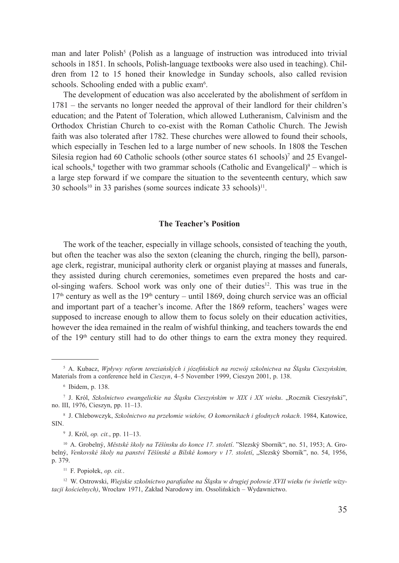man and later Polish<sup>5</sup> (Polish as a language of instruction was introduced into trivial schools in 1851. In schools, Polish-language textbooks were also used in teaching). Children from 12 to 15 honed their knowledge in Sunday schools, also called revision schools. Schooling ended with a public exam<sup>6</sup>.

The development of education was also accelerated by the abolishment of serfdom in 1781 – the servants no longer needed the approval of their landlord for their children's education; and the Patent of Toleration, which allowed Lutheranism, Calvinism and the Orthodox Christian Church to co-exist with the Roman Catholic Church. The Jewish faith was also tolerated after 1782. These churches were allowed to found their schools, which especially in Teschen led to a large number of new schools. In 1808 the Teschen Silesia region had 60 Catholic schools (other source states 61 schools)<sup>7</sup> and 25 Evangelical schools,<sup>8</sup> together with two grammar schools (Catholic and Evangelical) $9 -$  which is a large step forward if we compare the situation to the seventeenth century, which saw  $30$  schools<sup>10</sup> in 33 parishes (some sources indicate 33 schools)<sup>11</sup>.

#### **The Teacher's Position**

The work of the teacher, especially in village schools, consisted of teaching the youth, but often the teacher was also the sexton (cleaning the church, ringing the bell), parsonage clerk, registrar, municipal authority clerk or organist playing at masses and funerals, they assisted during church ceremonies, sometimes even prepared the hosts and carol-singing wafers. School work was only one of their duties<sup>12</sup>. This was true in the  $17<sup>th</sup>$  century as well as the  $19<sup>th</sup>$  century – until 1869, doing church service was an official and important part of a teacher's income. After the 1869 reform, teachers' wages were supposed to increase enough to allow them to focus solely on their education activities, however the idea remained in the realm of wishful thinking, and teachers towards the end of the  $19<sup>th</sup>$  century still had to do other things to earn the extra money they required.

<sup>5</sup> A. Kubacz, *Wpływy reform tereziańských i józefińskich na rozwój szkolnictwa na Śląsku Cieszyńskim,* Materials from a conference held in *Cieszyn*, 4–5 November 1999, Cieszyn 2001, p. 138.

<sup>6</sup> Ibidem, p. 138.

<sup>&</sup>lt;sup>7</sup> J. Król, Szkolnictwo ewangelickie na Śląsku Cieszyńskim w XIX i XX wieku. "Rocznik Cieszyński", no. III, 1976, Cieszyn, pp. 11–13.

<sup>8</sup> J. Chlebowczyk, *Szkolnictwo na prze*ł*omie wieków, O komornikach i głodnych rokach*. 1984, Katowice, SIN.

<sup>9</sup> J. Król, *op. cit.*, pp. 11–13.

<sup>10</sup> A. Grobelný, *Městské školy na Těšínsku do konce 17. století*. "Slezský Sborník", no. 51, 1953; A. Grobelný, *Venkovské školy na panství Těšínské a Bílské komory v 17. století*, "Slezský Sborník", no. 54, 1956, p. 379.

<sup>11</sup> F. Popiołek, *op. cit.*.

<sup>12</sup> W. Ostrowski, *Wiejskie szkolnictwo parafialne na Śląsku w drugiej połowie XVII wieku (w świetle wizytacji kościelnych)*, Wrocław 1971, Zakład Narodowy im. Ossolińskich – Wydawnictwo.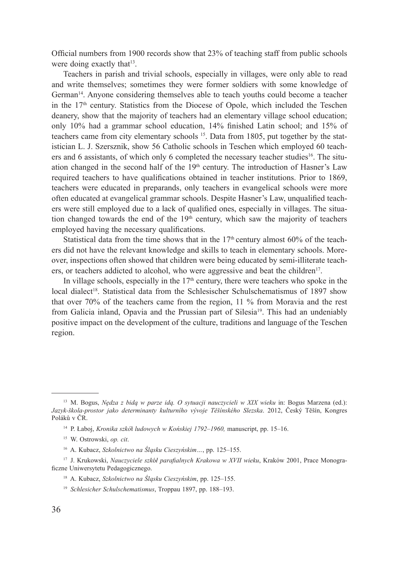Official numbers from 1900 records show that 23% of teaching staff from public schools were doing exactly that<sup>13</sup>.

Teachers in parish and trivial schools, especially in villages, were only able to read and write themselves; sometimes they were former soldiers with some knowledge of German<sup>14</sup>. Anyone considering themselves able to teach youths could become a teacher in the  $17<sup>th</sup>$  century. Statistics from the Diocese of Opole, which included the Teschen deanery, show that the majority of teachers had an elementary village school education; only 10% had a grammar school education, 14% finished Latin school; and 15% of teachers came from city elementary schools  $15$ . Data from 1805, put together by the statistician L. J. Szersznik, show 56 Catholic schools in Teschen which employed 60 teachers and 6 assistants, of which only 6 completed the necessary teacher studies<sup>16</sup>. The situation changed in the second half of the  $19<sup>th</sup>$  century. The introduction of Hasner's Law required teachers to have qualifications obtained in teacher institutions. Prior to 1869, teachers were educated in preparands, only teachers in evangelical schools were more often educated at evangelical grammar schools. Despite Hasner's Law, unqualified teachers were still employed due to a lack of qualified ones, especially in villages. The situation changed towards the end of the  $19<sup>th</sup>$  century, which saw the majority of teachers employed having the necessary qualifications.

Statistical data from the time shows that in the  $17<sup>th</sup>$  century almost 60% of the teachers did not have the relevant knowledge and skills to teach in elementary schools. Moreover, inspections often showed that children were being educated by semi-illiterate teachers, or teachers addicted to alcohol, who were aggressive and beat the children<sup>17</sup>.

In village schools, especially in the  $17<sup>th</sup>$  century, there were teachers who spoke in the local dialect<sup>18</sup>. Statistical data from the Schlesischer Schulschematismus of 1897 show that over 70% of the teachers came from the region, 11 % from Moravia and the rest from Galicia inland, Opavia and the Prussian part of Silesia<sup>19</sup>. This had an undeniably positive impact on the development of the culture, traditions and language of the Teschen region.

<sup>13</sup> M. Bogus, *Nędza z bidą w parze idą. O sytuacji nauczycieli w XIX wieku* in: Bogus Marzena (ed.): *Jazyk-škola-prostor jako determinanty kulturního vývoje Těšínského Slezska*. 2012, Český Těšín, Kongres Poláků v ČR.

<sup>14</sup> P. Łaboj, *Kronika szkó*ł *ludowych w Końskiej 1792–1960,* manuscript, pp. 15–16.

<sup>15</sup> W. Ostrowski, *op. cit*.

<sup>16</sup> A. Kubacz, *Szkolnictwo na Śląsku Cieszyńskim…*, pp. 125–155.

<sup>17</sup> J. Krukowski, *Nauczyciele szk*ó*ł parafialnych Krakowa w XVII wieku*, Kraków 2001, Prace Monograficzne Uniwersytetu Pedagogicznego.

<sup>18</sup> A. Kubacz, *Szkolnictwo na Śląsku Cieszyńskim*, pp. 125–155.

<sup>19</sup> *Schlesicher Schulschematismus*, Troppau 1897, pp. 188–193.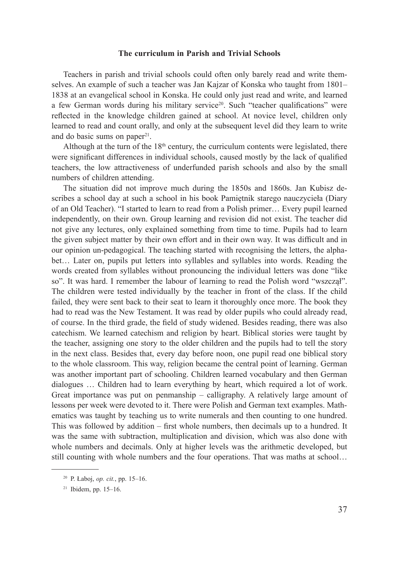## **The curriculum in Parish and Trivial Schools**

Teachers in parish and trivial schools could often only barely read and write themselves. An example of such a teacher was Jan Kajzar of Konska who taught from 1801– 1838 at an evangelical school in Konska. He could only just read and write, and learned a few German words during his military service<sup>20</sup>. Such "teacher qualifications" were reflected in the knowledge children gained at school. At novice level, children only learned to read and count orally, and only at the subsequent level did they learn to write and do basic sums on paper<sup>21</sup>.

Although at the turn of the  $18<sup>th</sup>$  century, the curriculum contents were legislated, there were significant differences in individual schools, caused mostly by the lack of qualified teachers, the low attractiveness of underfunded parish schools and also by the small numbers of children attending.

The situation did not improve much during the 1850s and 1860s. Jan Kubisz describes a school day at such a school in his book Pamiętnik starego nauczycieła (Diary of an Old Teacher). "I started to learn to read from a Polish primer… Every pupil learned independently, on their own. Group learning and revision did not exist. The teacher did not give any lectures, only explained something from time to time. Pupils had to learn the given subject matter by their own effort and in their own way. It was difficult and in our opinion un-pedagogical. The teaching started with recognising the letters, the alphabet… Later on, pupils put letters into syllables and syllables into words. Reading the words created from syllables without pronouncing the individual letters was done "like so". It was hard. I remember the labour of learning to read the Polish word "wszczął". The children were tested individually by the teacher in front of the class. If the child failed, they were sent back to their seat to learn it thoroughly once more. The book they had to read was the New Testament. It was read by older pupils who could already read, of course. In the third grade, the field of study widened. Besides reading, there was also catechism. We learned catechism and religion by heart. Biblical stories were taught by the teacher, assigning one story to the older children and the pupils had to tell the story in the next class. Besides that, every day before noon, one pupil read one biblical story to the whole classroom. This way, religion became the central point of learning. German was another important part of schooling. Children learned vocabulary and then German dialogues … Children had to learn everything by heart, which required a lot of work. Great importance was put on penmanship – calligraphy. A relatively large amount of lessons per week were devoted to it. There were Polish and German text examples. Mathematics was taught by teaching us to write numerals and then counting to one hundred. This was followed by addition – first whole numbers, then decimals up to a hundred. It was the same with subtraction, multiplication and division, which was also done with whole numbers and decimals. Only at higher levels was the arithmetic developed, but still counting with whole numbers and the four operations. That was maths at school…

<sup>20</sup> P. Łaboj, *op. cit.*, pp. 15–16.

<sup>21</sup> Ibidem, pp. 15–16.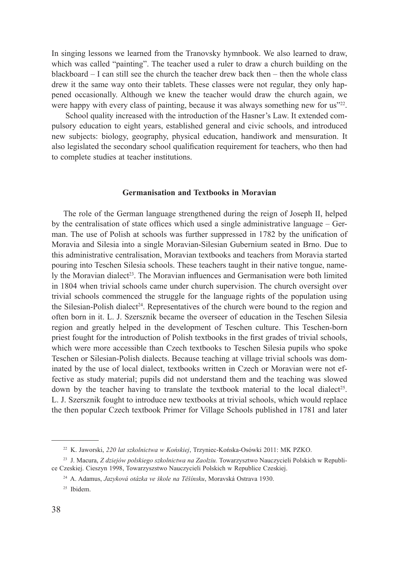In singing lessons we learned from the Tranovsky hymnbook. We also learned to draw, which was called "painting". The teacher used a ruler to draw a church building on the blackboard – I can still see the church the teacher drew back then – then the whole class drew it the same way onto their tablets. These classes were not regular, they only happened occasionally. Although we knew the teacher would draw the church again, we were happy with every class of painting, because it was always something new for us"22.

 School quality increased with the introduction of the Hasner's Law. It extended compulsory education to eight years, established general and civic schools, and introduced new subjects: biology, geography, physical education, handiwork and mensuration. It also legislated the secondary school qualification requirement for teachers, who then had to complete studies at teacher institutions.

## **Germanisation and Textbooks in Moravian**

The role of the German language strengthened during the reign of Joseph II, helped by the centralisation of state offices which used a single administrative language – German. The use of Polish at schools was further suppressed in 1782 by the unification of Moravia and Silesia into a single Moravian-Silesian Gubernium seated in Brno. Due to this administrative centralisation, Moravian textbooks and teachers from Moravia started pouring into Teschen Silesia schools. These teachers taught in their native tongue, namely the Moravian dialect<sup>23</sup>. The Moravian influences and Germanisation were both limited in 1804 when trivial schools came under church supervision. The church oversight over trivial schools commenced the struggle for the language rights of the population using the Silesian-Polish dialect<sup>24</sup>. Representatives of the church were bound to the region and often born in it. L. J. Szersznik became the overseer of education in the Teschen Silesia region and greatly helped in the development of Teschen culture. This Teschen-born priest fought for the introduction of Polish textbooks in the first grades of trivial schools, which were more accessible than Czech textbooks to Teschen Silesia pupils who spoke Teschen or Silesian-Polish dialects. Because teaching at village trivial schools was dominated by the use of local dialect, textbooks written in Czech or Moravian were not effective as study material; pupils did not understand them and the teaching was slowed down by the teacher having to translate the textbook material to the local dialect<sup>25</sup>. L. J. Szersznik fought to introduce new textbooks at trivial schools, which would replace the then popular Czech textbook Primer for Village Schools published in 1781 and later

<sup>22</sup> K. Jaworski, *220 lat szkolnictwa w Końskiej*, Trzyniec-Końska-Osówki 2011: MK PZKO.

<sup>23</sup> J. Macura, *Z dziejów polskiego szkolnictwa na Zaolziu.* Towarzysztwo Nauczycieli Polskich w Republice Czeskiej. Cieszyn 1998, Towarzyszstwo Nauczycieli Polskich w Republice Czeskiej.

<sup>24</sup> A. Adamus, *Jazyková otázka ve škole na Těšínsku*, Moravská Ostrava 1930.

<sup>25</sup> Ibidem.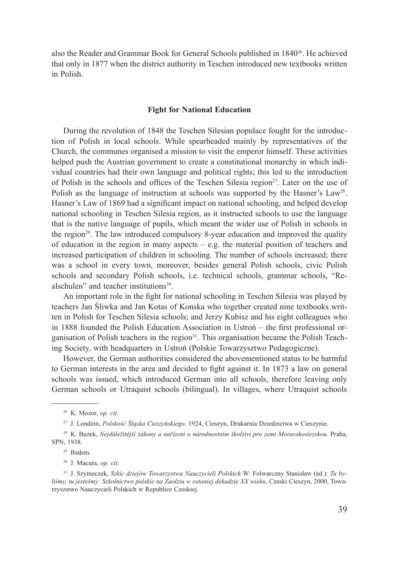also the Reader and Grammar Book for General Schools published in 1840<sup>26</sup>. He achieved that only in 1877 when the district authority in Teschen introduced new textbooks written in Polish.

## **Fight for National Education**

During the revolution of 1848 the Teschen Silesian populace fought for the introduction of Polish in local schools. While spearheaded mainly by representatives of the Church, the communes organised a mission to visit the emperor himself. These activities helped push the Austrian government to create a constitutional monarchy in which individual countries had their own language and political rights; this led to the introduction of Polish in the schools and offices of the Teschen Silesia region<sup>27</sup>. Later on the use of Polish as the language of instruction at schools was supported by the Hasner's Law<sup>28</sup>. Hasner's Law of 1869 had a significant impact on national schooling, and helped develop national schooling in Teschen Silesia region, as it instructed schools to use the language that is the native language of pupils, which meant the wider use of Polish in schools in the region<sup>29</sup>. The law introduced compulsory 8-year education and improved the quality of education in the region in many aspects – e.g. the material position of teachers and increased participation of children in schooling. The number of schools increased; there was a school in every town, moreover, besides general Polish schools, civic Polish schools and secondary Polish schools, i.e. technical schools, grammar schools, "Realschulen" and teacher institutions<sup>30</sup>.

An important role in the fight for national schooling in Teschen Silesia was played by teachers Jan Śliwka and Jan Kotas of Konska who together created nine textbooks written in Polish for Teschen Silesia schools; and Jerzy Kubisz and his eight colleagues who in 1888 founded the Polish Education Association in Ustroń – the first professional organisation of Polish teachers in the region<sup>31</sup>. This organisation became the Polish Teaching Society, with headquarters in Ustroń (Polskie Towarzysztwo Pedagogiczne).

However, the German authorities considered the abovementioned status to be harmful to German interests in the area and decided to fight against it. In 1873 a law on general schools was issued, which introduced German into all schools, therefore leaving only German schools or Utraquist schools (bilingual). In villages, where Utraquist schools

<sup>26</sup> K. Mozor, *op. cit*.

<sup>27</sup> J. Londzin, *Polskość Śląska Cieszyńskiego*. 1924, Cieszyn, Drukarnia Dziedzictwa w Cieszynie.

<sup>28</sup> K. Buzek, *Nejdůležitější zákony a nařízení o národnostním školství pro zemi Moravskoslezskou*. Praha, SPN, 1938.

<sup>29</sup> Ibidem.

<sup>30</sup> J. Macura, *op. cit*.

<sup>31</sup> J. Szymeczek, *Szkic dziejów Towarzystwa Nauczycieli Polskich* W: Folwarczny Stanisław (ed.): *Tu byliśmy, tu jesteśmy: Szkolnictwo polskie na Zaolziu w ostaniej dekadzie XX wieku*, Czeski Cieszyn, 2000, Towarzyszstwo Nauczycieli Polskich w Republice Czeskiej.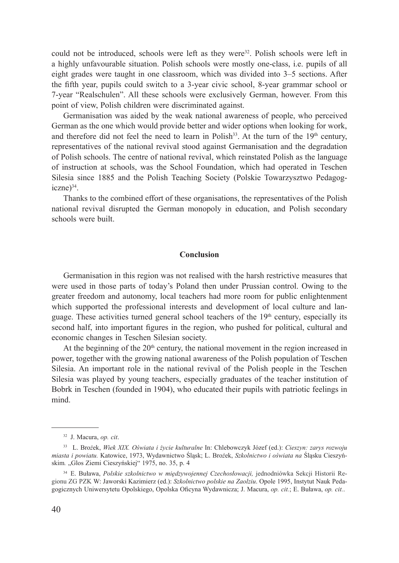could not be introduced, schools were left as they were $3^2$ . Polish schools were left in a highly unfavourable situation. Polish schools were mostly one-class, i.e. pupils of all eight grades were taught in one classroom, which was divided into 3–5 sections. After the fifth year, pupils could switch to a 3-year civic school, 8-year grammar school or 7-year "Realschulen". All these schools were exclusively German, however. From this point of view, Polish children were discriminated against.

Germanisation was aided by the weak national awareness of people, who perceived German as the one which would provide better and wider options when looking for work, and therefore did not feel the need to learn in Polish<sup>33</sup>. At the turn of the  $19<sup>th</sup>$  century, representatives of the national revival stood against Germanisation and the degradation of Polish schools. The centre of national revival, which reinstated Polish as the language of instruction at schools, was the School Foundation, which had operated in Teschen Silesia since 1885 and the Polish Teaching Society (Polskie Towarzysztwo Pedagog $iczne)$ <sup>34</sup>

Thanks to the combined effort of these organisations, the representatives of the Polish national revival disrupted the German monopoly in education, and Polish secondary schools were built.

#### **Conclusion**

Germanisation in this region was not realised with the harsh restrictive measures that were used in those parts of today's Poland then under Prussian control. Owing to the greater freedom and autonomy, local teachers had more room for public enlightenment which supported the professional interests and development of local culture and language. These activities turned general school teachers of the  $19<sup>th</sup>$  century, especially its second half, into important figures in the region, who pushed for political, cultural and economic changes in Teschen Silesian society.

At the beginning of the  $20<sup>th</sup>$  century, the national movement in the region increased in power, together with the growing national awareness of the Polish population of Teschen Silesia. An important role in the national revival of the Polish people in the Teschen Silesia was played by young teachers, especially graduates of the teacher institution of Bobrk in Teschen (founded in 1904), who educated their pupils with patriotic feelings in mind.

<sup>32</sup> J. Macura, *op. cit*.

<sup>33</sup> L. Bro*ż*ek, *Wiek XIX. Oświata i życie kulturalne* In: Chlebowczyk Józef (ed.): *Cieszyn: zarys rozwoju miasta i powiatu.* Katowice, 1973, Wydawnictwo Śląsk; L. Bro*ż*ek, *Szkolnictwo i oświata na* Śląsku Cieszyńskim. "Glos Ziemi Cieszyńskiej" 1975, no. 35, p. 4

<sup>34</sup> E. Buława, *Polskie szkolnictwo w międzywojennej Czechosłowacji,* jednodniówka Sekcji Historii Regionu ZG PZK W: Jaworski Kazimierz (ed.): *Szkolnictwo polskie na Zaolziu*. Opole 1995, Instytut Nauk Pedagogicznych Uniwersytetu Opolskiego, Opolska Oficyna Wydawnicza; J. Macura, *op. cit.*; E. Buława, *op. cit.*.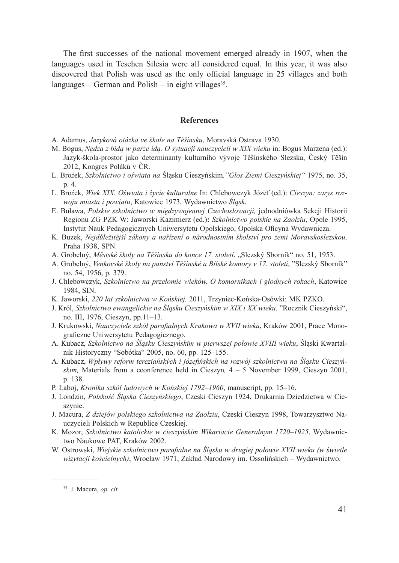The first successes of the national movement emerged already in 1907, when the languages used in Teschen Silesia were all considered equal. In this year, it was also discovered that Polish was used as the only official language in 25 villages and both languages – German and Polish – in eight villages  $35$ .

#### **References**

- A. Adamus, *Jazyková otázka ve škole na Těšínsku*, Moravská Ostrava 1930.
- M. Bogus, *Nędza z bidą w parze idą. O sytuacji nauczycieli w XIX wieku* in: Bogus Marzena (ed.): Jazyk-škola-prostor jako determinanty kulturního vývoje Těšínského Slezska, Český Těšín 2012, Kongres Poláků v ČR.
- L. Bro*ż*ek, *Szkolnictwo i oświata na* Śląsku Cieszyńskim*."Glos Ziemi Cieszyńskiej"* 1975, no. 35, p. 4.
- L. Bro*ż*ek, *Wiek XIX. Oświata i życie kulturalne* In: Chlebowczyk Józef (ed.): *Cieszyn: zarys rozwoju miasta i powiatu*, Katowice 1973, Wydawnictwo *Śląsk*.
- E. Buława, *Polskie szkolnictwo w międzywojennej Czechosłowacji,* jednodniówka Sekcji Historii Regionu ZG PZK W: Jaworski Kazimierz (ed.)**:** *Szkolnictwo polskie na Zaolziu*, Opole 1995, Instytut Nauk Pedagogicznych Uniwersytetu Opolskiego, Opolska Oficyna Wydawnicza.
- K. Buzek, *Nejdůležitější zákony a nařízení o národnostním školství pro zemi Moravskoslezskou*. Praha 1938, SPN.
- A. Grobelný, *Městské školy na Těšínsku do konce 17. století*. "Slezský Sborník" no. 51, 1953.
- A. Grobelný, *Venkovské školy na panství Těšínské a Bílské komory v 17. století*, "Slezský Sborník" no. 54, 1956, p. 379.
- J. Chlebowczyk, *Szkolnictwo na przełomie wieków, O komornikach i głodnych rokach*, Katowice 1984, SIN.
- K. Jaworski, *220 lat szkolnictwa w Końskiej.* 2011, Trzyniec-Końska-Osówki: MK PZKO.
- J. Król, *Szkolnictwo ewangelickie na Śląsku Cieszyńskim w XIX i XX wieku*. "Rocznik Cieszyński", no. III, 1976, Cieszyn, pp.11–13.
- J. Krukowski, *Nauczyciele szkół parafialnych Krakowa w XVII wieku*, Kraków 2001, Prace Monograficzne Uniwersytetu Pedagogicznego.
- A. Kubacz, *Szkolnictwo na Śląsku Cieszyńskim w pierwszej połowie XVIII wieku*, Śląski Kwartalnik Historyczny "Sobótka" 2005, no. 60, pp. 125–155.
- A. Kubacz, *Wpływy reform tereziańských i józefińskich na rozwój szkolnictwa na Śląsku Cieszyńskim,* Materials from a cconference held in Cieszyn*,* 4 – 5 November 1999, Cieszyn 2001, p. 138.
- P. Łaboj, *Kronika szkół ludowych w Końskiej 1792–1960*, manuscript, pp. 15–16.
- J. Londzin, *Polskość Śląska Cieszyńskiego*, Czeski Cieszyn 1924, Drukarnia Dziedzictwa w Cieszynie.
- J. Macura, *Z dziejów polskiego szkolnictwa na Zaolziu*, Czeski Cieszyn 1998, Towarzysztwo Nauczycieli Polskich w Republice Czeskiej.
- K. Mozor, *Szkolnictwo katolickie w cieszyńskim Wikariacie Generalnym 1720–1925*, Wydawnictwo Naukowe PAT, Kraków 2002.
- W. Ostrowski, *Wiejskie szkolnictwo parafialne na Śląsku w drugiej połowie XVII wieku (w świetle wizytacji kościelnych)*, Wrocław 1971, Zakład Narodowy im. Ossolińskich – Wydawnictwo.

<sup>35</sup> J. Macura, *op. cit.*